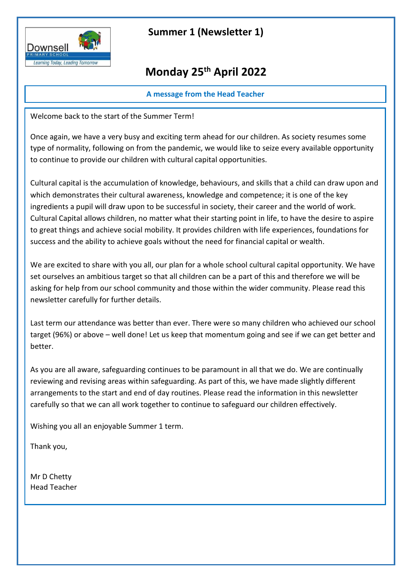

### **Summer 1 (Newsletter 1)**

## **Monday 25th April 2022**

**A message from the Head Teacher**

Welcome back to the start of the Summer Term!

Once again, we have a very busy and exciting term ahead for our children. As society resumes some type of normality, following on from the pandemic, we would like to seize every available opportunity to continue to provide our children with cultural capital opportunities.

Cultural capital is the accumulation of knowledge, behaviours, and skills that a child can draw upon and which demonstrates their cultural awareness, knowledge and competence; it is one of the key ingredients a pupil will draw upon to be successful in society, their career and the world of work. Cultural Capital allows children, no matter what their starting point in life, to have the desire to aspire to great things and achieve social mobility. It provides children with life experiences, foundations for success and the ability to achieve goals without the need for financial capital or wealth.

We are excited to share with you all, our plan for a whole school cultural capital opportunity. We have set ourselves an ambitious target so that all children can be a part of this and therefore we will be asking for help from our school community and those within the wider community. Please read this newsletter carefully for further details.

Last term our attendance was better than ever. There were so many children who achieved our school target (96%) or above – well done! Let us keep that momentum going and see if we can get better and better.

As you are all aware, safeguarding continues to be paramount in all that we do. We are continually reviewing and revising areas within safeguarding. As part of this, we have made slightly different arrangements to the start and end of day routines. Please read the information in this newsletter carefully so that we can all work together to continue to safeguard our children effectively.

Wishing you all an enjoyable Summer 1 term.

Thank you,

Mr D Chetty Head Teacher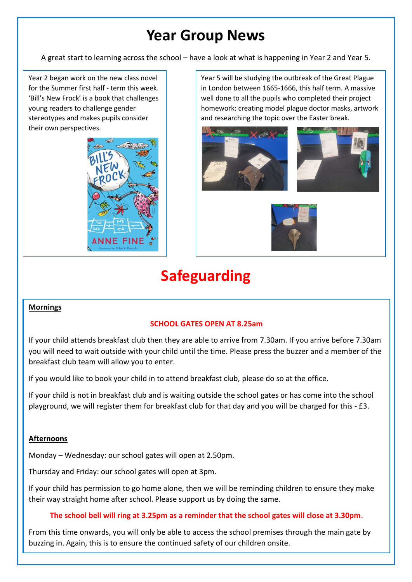## **Year Group News**

A great start to learning across the school – have a look at what is happening in Year 2 and Year 5.

Year 2 began work on the new class novel for the Summer first half - term this week. 'Bill's New Frock' is a book that challenges young readers to challenge gender stereotypes and makes pupils consider their own perspectives.



Year 5 will be studying the outbreak of the Great Plague in London between 1665-1666, this half term. A massive well done to all the pupils who completed their project homework: creating model plague doctor masks, artwork and researching the topic over the Easter break.







## **Safeguarding**

#### **Mornings**

#### **SCHOOL GATES OPEN AT 8.25am**

If your child attends breakfast club then they are able to arrive from 7.30am. If you arrive before 7.30am you will need to wait outside with your child until the time. Please press the buzzer and a member of the breakfast club team will allow you to enter.

If you would like to book your child in to attend breakfast club, please do so at the office.

If your child is not in breakfast club and is waiting outside the school gates or has come into the school playground, we will register them for breakfast club for that day and you will be charged for this - £3.

#### **Afternoons**

Monday – Wednesday: our school gates will open at 2.50pm.

Thursday and Friday: our school gates will open at 3pm.

If your child has permission to go home alone, then we will be reminding children to ensure they make their way straight home after school. Please support us by doing the same.

#### **The school bell will ring at 3.25pm as a reminder that the school gates will close at 3.30pm**.

From this time onwards, you will only be able to access the school premises through the main gate by buzzing in. Again, this is to ensure the continued safety of our children onsite.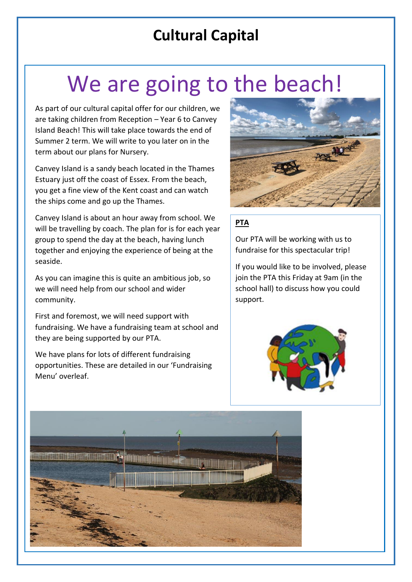## **Cultural Capital**

# We are going to the beach!

As part of our cultural capital offer for our children, we are taking children from Reception – Year 6 to Canvey Island Beach! This will take place towards the end of Summer 2 term. We will write to you later on in the term about our plans for Nursery.

Canvey Island is a sandy beach located in the Thames Estuary just off the coast of Essex. From the beach, you get a fine view of the Kent coast and can watch the ships come and go up the Thames.

Canvey Island is about an hour away from school. We will be travelling by coach. The plan for is for each year group to spend the day at the beach, having lunch together and enjoying the experience of being at the seaside.

As you can imagine this is quite an ambitious job, so we will need help from our school and wider community.

First and foremost, we will need support with fundraising. We have a fundraising team at school and they are being supported by our PTA.

We have plans for lots of different fundraising opportunities. These are detailed in our 'Fundraising Menu' overleaf.



#### **PTA**

Our PTA will be working with us to fundraise for this spectacular trip!

If you would like to be involved, please join the PTA this Friday at 9am (in the school hall) to discuss how you could support.